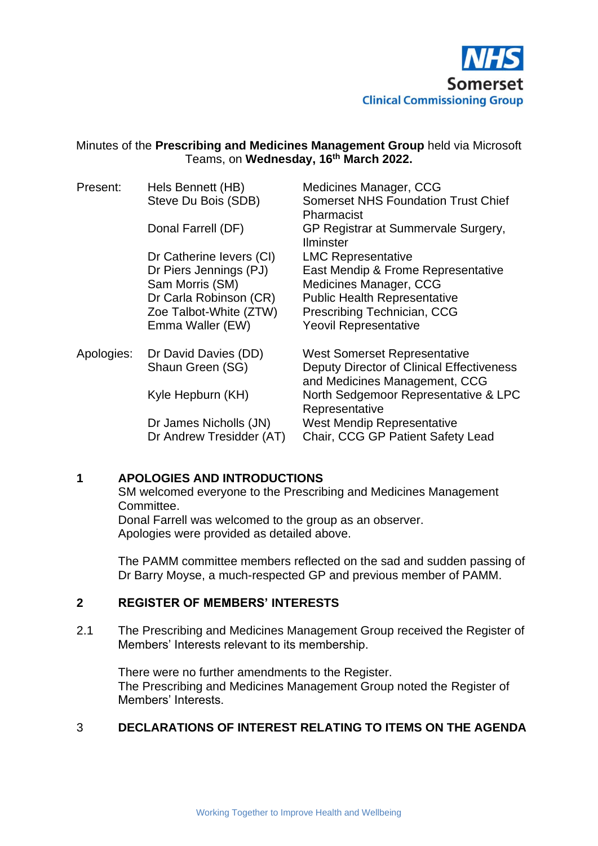

#### Minutes of the **Prescribing and Medicines Management Group** held via Microsoft Teams, on **Wednesday, 16 th March 2022.**

| Present:   | Hels Bennett (HB)<br>Steve Du Bois (SDB)                                                                          | Medicines Manager, CCG<br><b>Somerset NHS Foundation Trust Chief</b><br>Pharmacist                                                                                 |
|------------|-------------------------------------------------------------------------------------------------------------------|--------------------------------------------------------------------------------------------------------------------------------------------------------------------|
|            | Donal Farrell (DF)                                                                                                | GP Registrar at Summervale Surgery,<br><b>Ilminster</b>                                                                                                            |
|            | Dr Catherine levers (CI)                                                                                          | <b>LMC Representative</b>                                                                                                                                          |
|            | Dr Piers Jennings (PJ)<br>Sam Morris (SM)<br>Dr Carla Robinson (CR)<br>Zoe Talbot-White (ZTW)<br>Emma Waller (EW) | East Mendip & Frome Representative<br>Medicines Manager, CCG<br><b>Public Health Representative</b><br>Prescribing Technician, CCG<br><b>Yeovil Representative</b> |
| Apologies: | Dr David Davies (DD)<br>Shaun Green (SG)                                                                          | <b>West Somerset Representative</b><br><b>Deputy Director of Clinical Effectiveness</b><br>and Medicines Management, CCG                                           |
|            | Kyle Hepburn (KH)                                                                                                 | North Sedgemoor Representative & LPC<br>Representative                                                                                                             |
|            | Dr James Nicholls (JN)<br>Dr Andrew Tresidder (AT)                                                                | <b>West Mendip Representative</b><br>Chair, CCG GP Patient Safety Lead                                                                                             |

#### **1 APOLOGIES AND INTRODUCTIONS**

SM welcomed everyone to the Prescribing and Medicines Management Committee.

Donal Farrell was welcomed to the group as an observer. Apologies were provided as detailed above.

The PAMM committee members reflected on the sad and sudden passing of Dr Barry Moyse, a much-respected GP and previous member of PAMM.

#### **2 REGISTER OF MEMBERS' INTERESTS**

2.1 The Prescribing and Medicines Management Group received the Register of Members' Interests relevant to its membership.

There were no further amendments to the Register. The Prescribing and Medicines Management Group noted the Register of Members' Interests.

## 3 **DECLARATIONS OF INTEREST RELATING TO ITEMS ON THE AGENDA**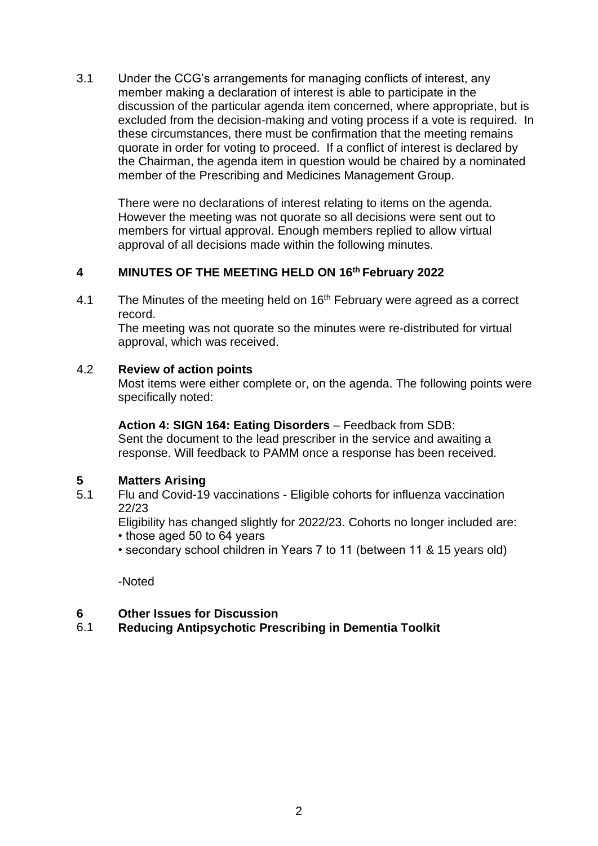3.1 Under the CCG's arrangements for managing conflicts of interest, any member making a declaration of interest is able to participate in the discussion of the particular agenda item concerned, where appropriate, but is excluded from the decision-making and voting process if a vote is required. In these circumstances, there must be confirmation that the meeting remains quorate in order for voting to proceed. If a conflict of interest is declared by the Chairman, the agenda item in question would be chaired by a nominated member of the Prescribing and Medicines Management Group.

There were no declarations of interest relating to items on the agenda. However the meeting was not quorate so all decisions were sent out to members for virtual approval. Enough members replied to allow virtual approval of all decisions made within the following minutes.

## **4 MINUTES OF THE MEETING HELD ON 16 th February 2022**

4.1 The Minutes of the meeting held on 16<sup>th</sup> February were agreed as a correct record.

The meeting was not quorate so the minutes were re-distributed for virtual approval, which was received.

#### 4.2 **Review of action points**

Most items were either complete or, on the agenda. The following points were specifically noted:

#### **Action 4: SIGN 164: Eating Disorders** – Feedback from SDB:

Sent the document to the lead prescriber in the service and awaiting a response. Will feedback to PAMM once a response has been received.

# **5 Matters Arising**

5.1 Flu and Covid-19 vaccinations - Eligible cohorts for influenza vaccination 22/23

Eligibility has changed slightly for 2022/23. Cohorts no longer included are:

- those aged 50 to 64 years
- secondary school children in Years 7 to 11 (between 11 & 15 years old)

-Noted

#### **6 Other Issues for Discussion**

## 6.1 **Reducing Antipsychotic Prescribing in Dementia Toolkit**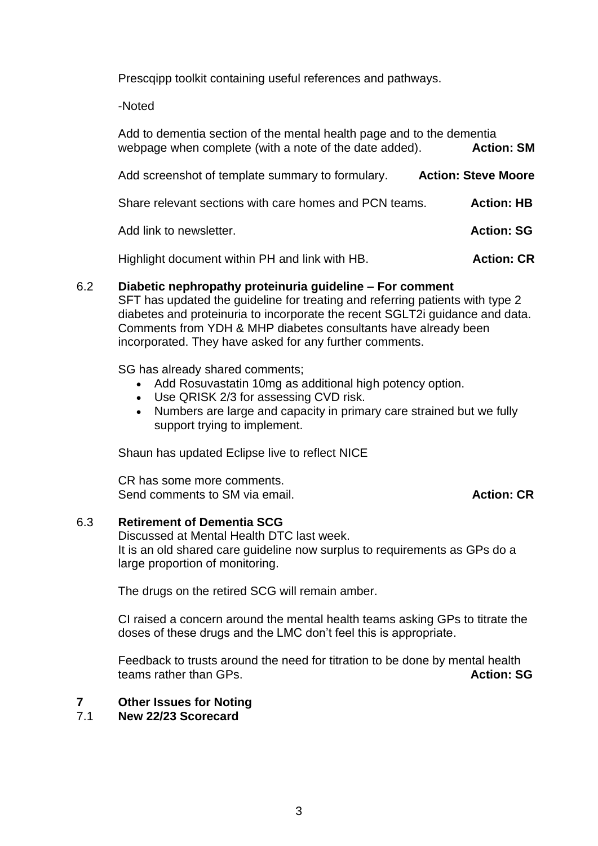Prescqipp toolkit containing useful references and pathways.

-Noted

| Add to dementia section of the mental health page and to the dementia<br>webpage when complete (with a note of the date added). | <b>Action: SM</b>          |
|---------------------------------------------------------------------------------------------------------------------------------|----------------------------|
|                                                                                                                                 |                            |
| Add screenshot of template summary to formulary.                                                                                | <b>Action: Steve Moore</b> |
| Share relevant sections with care homes and PCN teams.                                                                          | <b>Action: HB</b>          |
| Add link to newsletter.                                                                                                         | <b>Action: SG</b>          |
| Highlight document within PH and link with HB.                                                                                  | <b>Action: CR</b>          |

## 6.2 **Diabetic nephropathy proteinuria guideline – For comment**

SFT has updated the guideline for treating and referring patients with type 2 diabetes and proteinuria to incorporate the recent SGLT2i guidance and data. Comments from YDH & MHP diabetes consultants have already been incorporated. They have asked for any further comments.

SG has already shared comments;

- Add Rosuvastatin 10mg as additional high potency option.
- Use QRISK 2/3 for assessing CVD risk.
- Numbers are large and capacity in primary care strained but we fully support trying to implement.

Shaun has updated Eclipse live to reflect NICE

CR has some more comments. Send comments to SM via email. **Action: CR Action: CR** 

#### 6.3 **Retirement of Dementia SCG**

Discussed at Mental Health DTC last week. It is an old shared care guideline now surplus to requirements as GPs do a large proportion of monitoring.

The drugs on the retired SCG will remain amber.

CI raised a concern around the mental health teams asking GPs to titrate the doses of these drugs and the LMC don't feel this is appropriate.

Feedback to trusts around the need for titration to be done by mental health teams rather than GPs. **Action: SG**

# **7 Other Issues for Noting**

## 7.1 **New 22/23 Scorecard**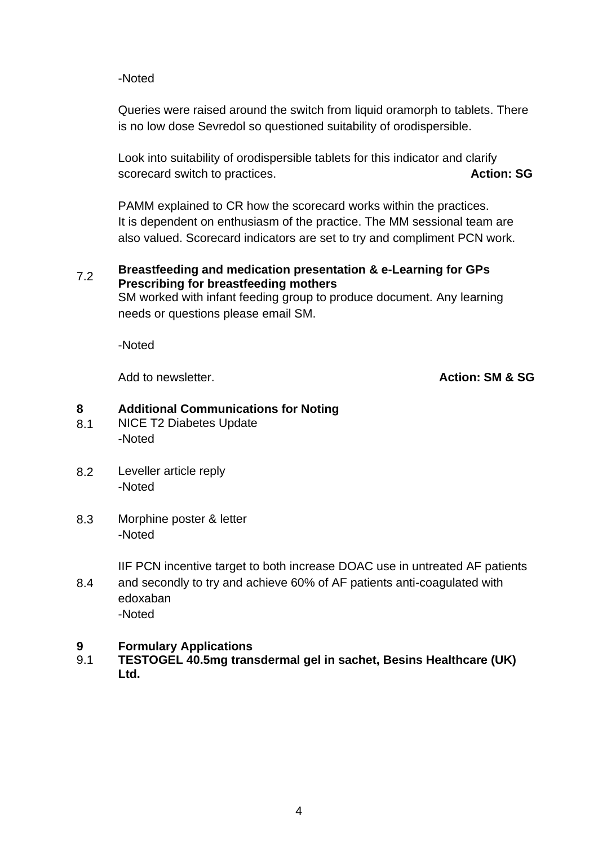#### -Noted

Queries were raised around the switch from liquid oramorph to tablets. There is no low dose Sevredol so questioned suitability of orodispersible.

Look into suitability of orodispersible tablets for this indicator and clarify scorecard switch to practices. **Action: SG** 

PAMM explained to CR how the scorecard works within the practices. It is dependent on enthusiasm of the practice. The MM sessional team are also valued. Scorecard indicators are set to try and compliment PCN work.

#### 7.2 **Breastfeeding and medication presentation & e-Learning for GPs Prescribing for breastfeeding mothers**

SM worked with infant feeding group to produce document. Any learning needs or questions please email SM.

-Noted

Add to newsletter. **Action: SM & SG**

## **8 Additional Communications for Noting**

- 8.1 NICE T2 Diabetes Update -Noted
- 8.2 Leveller article reply -Noted
- 8.3 Morphine poster & letter -Noted

IIF PCN incentive target to both increase DOAC use in untreated AF patients

8.4 and secondly to try and achieve 60% of AF patients anti-coagulated with edoxaban -Noted

## **9 Formulary Applications**

9.1 **TESTOGEL 40.5mg transdermal gel in sachet, Besins Healthcare (UK) Ltd.**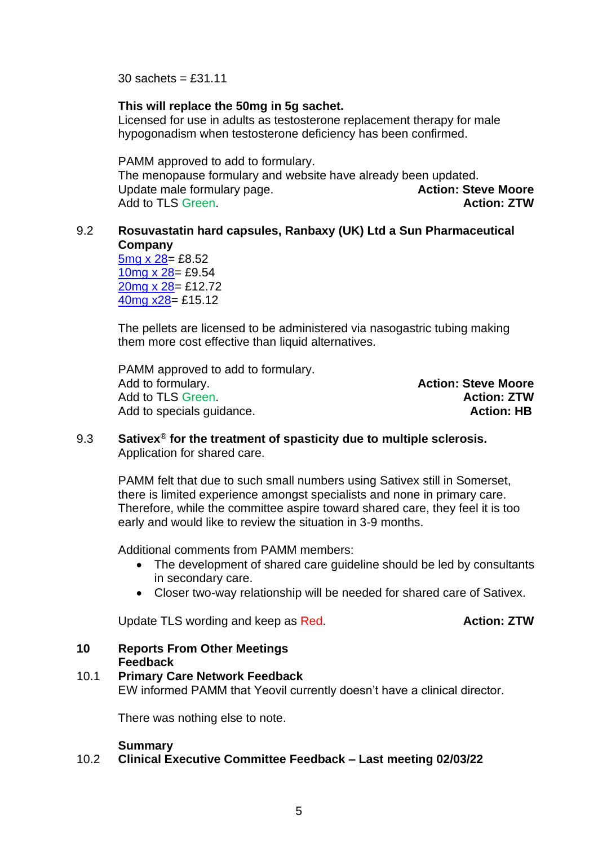$30$  sachets = £31.11

#### **This will replace the 50mg in 5g sachet.**

Licensed for use in adults as testosterone replacement therapy for male hypogonadism when testosterone deficiency has been confirmed.

PAMM approved to add to formulary.

The menopause formulary and website have already been updated. Update male formulary page. **Action: Steve Moore Action: Steve Moore** Add to TLS Green. **Action: ZTW**

### 9.2 **Rosuvastatin hard capsules, Ranbaxy (UK) Ltd a Sun Pharmaceutical Company**

[5mg x 28=](https://www.medicines.org.uk/emc/product/13271) £8.52 [10mg x 28=](https://www.medicines.org.uk/emc/product/13272/smpc) £9.54 [20mg x 28=](https://www.medicines.org.uk/emc/product/13273/smpc) £12.72 [40mg x28=](https://www.medicines.org.uk/emc/product/13274/smpc) £15.12

The pellets are licensed to be administered via nasogastric tubing making them more cost effective than liquid alternatives.

PAMM approved to add to formulary. Add to formulary. **Action: Steve Moore** Add to TLS Green. **Action: ZTW** Add to specials guidance. **Action: HB** Action: HB

#### 9.3 **Sativex**® **for the treatment of spasticity due to multiple sclerosis.** Application for shared care.

PAMM felt that due to such small numbers using Sativex still in Somerset, there is limited experience amongst specialists and none in primary care. Therefore, while the committee aspire toward shared care, they feel it is too early and would like to review the situation in 3-9 months.

Additional comments from PAMM members:

- The development of shared care guideline should be led by consultants in secondary care.
- Closer two-way relationship will be needed for shared care of Sativex.

Update TLS wording and keep as Red. **Action: ZTW** 

#### **10 Reports From Other Meetings Feedback**

## 10.1 **Primary Care Network Feedback** EW informed PAMM that Yeovil currently doesn't have a clinical director.

There was nothing else to note.

#### **Summary**

#### 10.2 **Clinical Executive Committee Feedback – Last meeting 02/03/22**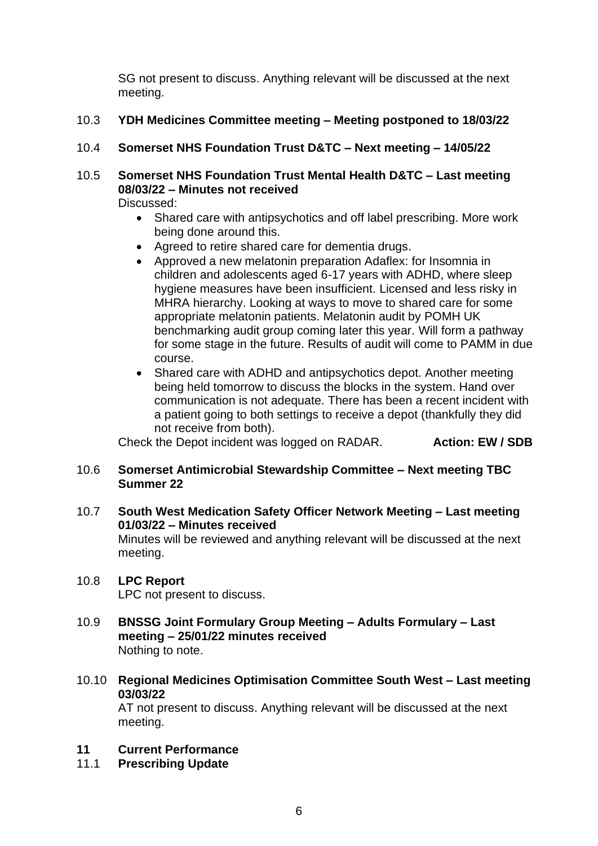SG not present to discuss. Anything relevant will be discussed at the next meeting.

- 10.3 **YDH Medicines Committee meeting – Meeting postponed to 18/03/22**
- 10.4 **Somerset NHS Foundation Trust D&TC – Next meeting – 14/05/22**
- 10.5 **Somerset NHS Foundation Trust Mental Health D&TC – Last meeting 08/03/22 – Minutes not received** Discussed:
	- Shared care with antipsychotics and off label prescribing. More work being done around this.
	- Agreed to retire shared care for dementia drugs.
	- Approved a new melatonin preparation Adaflex: for Insomnia in children and adolescents aged 6-17 years with ADHD, where sleep hygiene measures have been insufficient. Licensed and less risky in MHRA hierarchy. Looking at ways to move to shared care for some appropriate melatonin patients. Melatonin audit by POMH UK benchmarking audit group coming later this year. Will form a pathway for some stage in the future. Results of audit will come to PAMM in due course.
	- Shared care with ADHD and antipsychotics depot. Another meeting being held tomorrow to discuss the blocks in the system. Hand over communication is not adequate. There has been a recent incident with a patient going to both settings to receive a depot (thankfully they did not receive from both).

Check the Depot incident was logged on RADAR. **Action: EW / SDB**

## 10.6 **Somerset Antimicrobial Stewardship Committee – Next meeting TBC Summer 22**

10.7 **South West Medication Safety Officer Network Meeting – Last meeting 01/03/22 – Minutes received** Minutes will be reviewed and anything relevant will be discussed at the next meeting.

## 10.8 **LPC Report**

LPC not present to discuss.

- 10.9 **BNSSG Joint Formulary Group Meeting – Adults Formulary – Last meeting – 25/01/22 minutes received** Nothing to note.
- 10.10 **Regional Medicines Optimisation Committee South West – Last meeting 03/03/22**

AT not present to discuss. Anything relevant will be discussed at the next meeting.

## **11 Current Performance**

11.1 **Prescribing Update**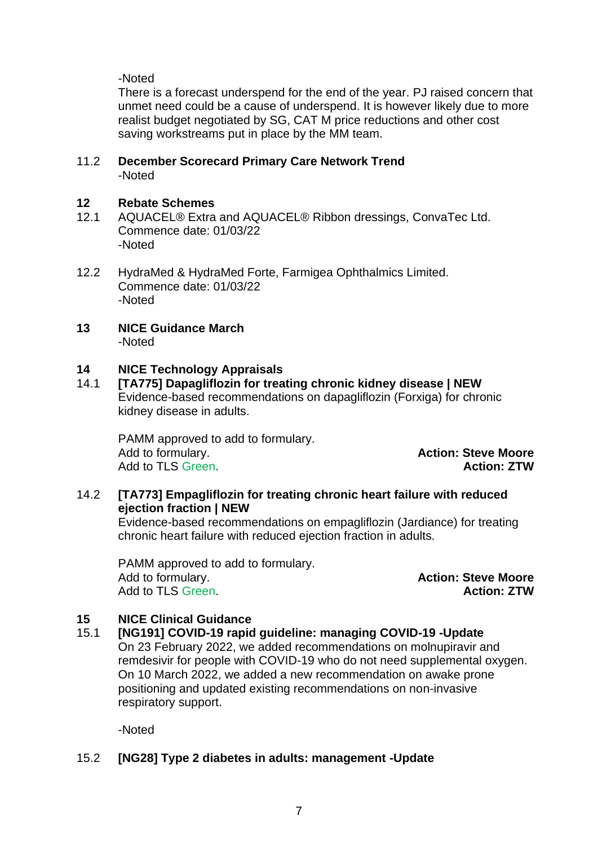## -Noted

There is a forecast underspend for the end of the year. PJ raised concern that unmet need could be a cause of underspend. It is however likely due to more realist budget negotiated by SG, CAT M price reductions and other cost saving workstreams put in place by the MM team.

#### 11.2 **December Scorecard Primary Care Network Trend** -Noted

# **12 Rebate Schemes**

- AQUACEL® Extra and AQUACEL® Ribbon dressings, ConvaTec Ltd. Commence date: 01/03/22 -Noted
- 12.2 HydraMed & HydraMed Forte, Farmigea Ophthalmics Limited. Commence date: 01/03/22 -Noted
- **13 NICE Guidance March** -Noted

## **14 NICE Technology Appraisals**

14.1 **[TA775] Dapagliflozin for treating chronic kidney disease | NEW** Evidence-based recommendations on dapagliflozin (Forxiga) for chronic kidney disease in adults.

PAMM approved to add to formulary. Add to formulary. **Action: Steve Moore** Add to TLS Green. **Action: ZTW**

## 14.2 **[TA773] Empagliflozin for treating chronic heart failure with reduced ejection fraction | NEW**

Evidence-based recommendations on empagliflozin (Jardiance) for treating chronic heart failure with reduced ejection fraction in adults.

PAMM approved to add to formulary. Add to formulary. **Action: Steve Moore** Add to TLS Green. **Action: ZTW**

## **15 NICE Clinical Guidance**

#### 15.1 **[NG191] COVID-19 rapid guideline: managing COVID-19 -Update**

On 23 February 2022, we added recommendations on molnupiravir and remdesivir for people with COVID-19 who do not need supplemental oxygen. On 10 March 2022, we added a new recommendation on awake prone positioning and updated existing recommendations on non-invasive respiratory support.

-Noted

## 15.2 **[NG28] Type 2 diabetes in adults: management -Update**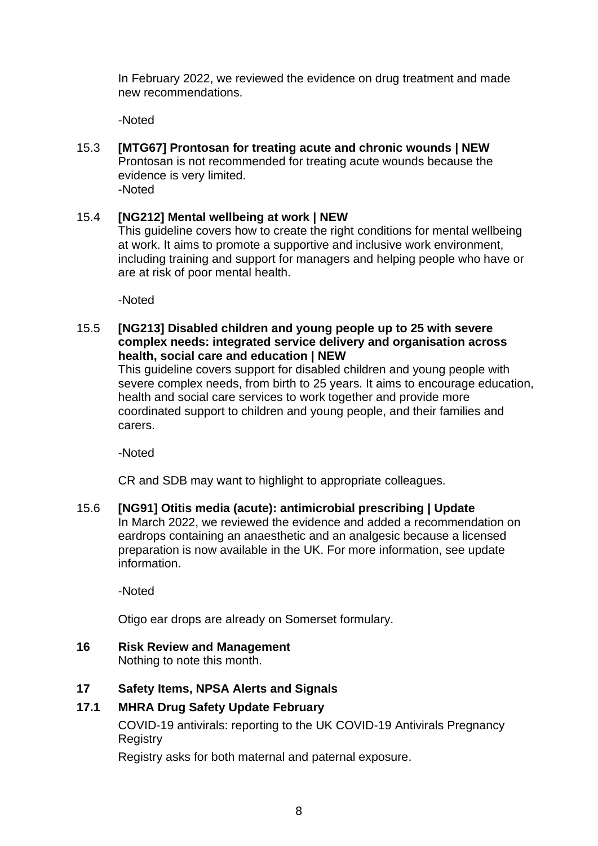In February 2022, we reviewed the evidence on drug treatment and made new recommendations.

-Noted

15.3 **[MTG67] Prontosan for treating acute and chronic wounds | NEW** Prontosan is not recommended for treating acute wounds because the evidence is very limited. -Noted

## 15.4 **[NG212] Mental wellbeing at work | NEW**

This guideline covers how to create the right conditions for mental wellbeing at work. It aims to promote a supportive and inclusive work environment, including training and support for managers and helping people who have or are at risk of poor mental health.

-Noted

15.5 **[NG213] Disabled children and young people up to 25 with severe complex needs: integrated service delivery and organisation across health, social care and education | NEW**

This guideline covers support for disabled children and young people with severe complex needs, from birth to 25 years. It aims to encourage education, health and social care services to work together and provide more coordinated support to children and young people, and their families and carers.

-Noted

CR and SDB may want to highlight to appropriate colleagues.

15.6 **[NG91] Otitis media (acute): antimicrobial prescribing | Update** In March 2022, we reviewed the evidence and added a recommendation on eardrops containing an anaesthetic and an analgesic because a licensed preparation is now available in the UK. For more information, see update information.

-Noted

Otigo ear drops are already on Somerset formulary.

**16 Risk Review and Management** Nothing to note this month.

## **17 Safety Items, NPSA Alerts and Signals**

## **17.1 MHRA Drug Safety Update February**

COVID-19 antivirals: reporting to the UK COVID-19 Antivirals Pregnancy **Registry** 

Registry asks for both maternal and paternal exposure.